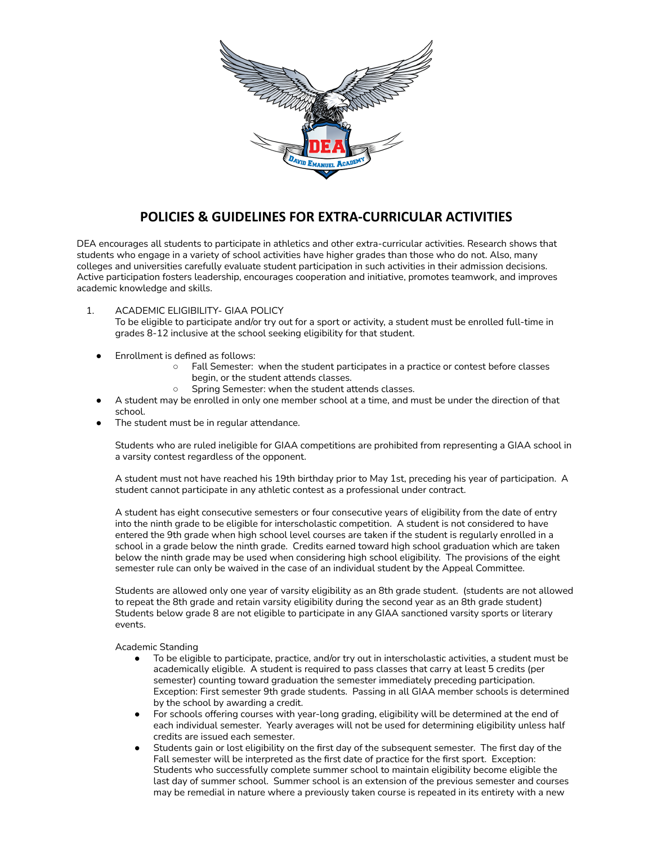

# **POLICIES & GUIDELINES FOR EXTRA-CURRICULAR ACTIVITIES**

DEA encourages all students to participate in athletics and other extra-curricular activities. Research shows that students who engage in a variety of school activities have higher grades than those who do not. Also, many colleges and universities carefully evaluate student participation in such activities in their admission decisions. Active participation fosters leadership, encourages cooperation and initiative, promotes teamwork, and improves academic knowledge and skills.

- 1. ACADEMIC ELIGIBILITY- GIAA POLICY To be eligible to participate and/or try out for a sport or activity, a student must be enrolled full-time in grades 8-12 inclusive at the school seeking eligibility for that student.
	- Enrollment is defined as follows:
		- Fall Semester: when the student participates in a practice or contest before classes begin, or the student attends classes.
		- Spring Semester: when the student attends classes.
	- A student may be enrolled in only one member school at a time, and must be under the direction of that school.
	- The student must be in regular attendance.

Students who are ruled ineligible for GIAA competitions are prohibited from representing a GIAA school in a varsity contest regardless of the opponent.

A student must not have reached his 19th birthday prior to May 1st, preceding his year of participation. A student cannot participate in any athletic contest as a professional under contract.

A student has eight consecutive semesters or four consecutive years of eligibility from the date of entry into the ninth grade to be eligible for interscholastic competition. A student is not considered to have entered the 9th grade when high school level courses are taken if the student is regularly enrolled in a school in a grade below the ninth grade. Credits earned toward high school graduation which are taken below the ninth grade may be used when considering high school eligibility. The provisions of the eight semester rule can only be waived in the case of an individual student by the Appeal Committee.

Students are allowed only one year of varsity eligibility as an 8th grade student. (students are not allowed to repeat the 8th grade and retain varsity eligibility during the second year as an 8th grade student) Students below grade 8 are not eligible to participate in any GIAA sanctioned varsity sports or literary events.

Academic Standing

- To be eligible to participate, practice, and/or try out in interscholastic activities, a student must be academically eligible. A student is required to pass classes that carry at least 5 credits (per semester) counting toward graduation the semester immediately preceding participation. Exception: First semester 9th grade students. Passing in all GIAA member schools is determined by the school by awarding a credit.
- For schools offering courses with year-long grading, eligibility will be determined at the end of each individual semester. Yearly averages will not be used for determining eligibility unless half credits are issued each semester.
- Students gain or lost eligibility on the first day of the subsequent semester. The first day of the Fall semester will be interpreted as the first date of practice for the first sport. Exception: Students who successfully complete summer school to maintain eligibility become eligible the last day of summer school. Summer school is an extension of the previous semester and courses may be remedial in nature where a previously taken course is repeated in its entirety with a new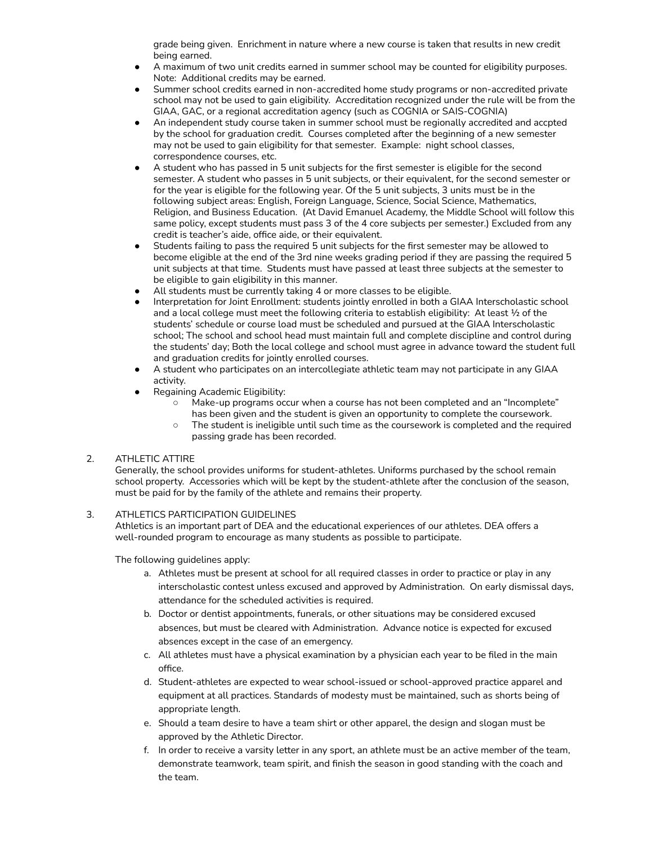grade being given. Enrichment in nature where a new course is taken that results in new credit being earned.

- A maximum of two unit credits earned in summer school may be counted for eligibility purposes. Note: Additional credits may be earned.
- Summer school credits earned in non-accredited home study programs or non-accredited private school may not be used to gain eligibility. Accreditation recognized under the rule will be from the GIAA, GAC, or a regional accreditation agency (such as COGNIA or SAIS-COGNIA)
- An independent study course taken in summer school must be regionally accredited and accpted by the school for graduation credit. Courses completed after the beginning of a new semester may not be used to gain eligibility for that semester. Example: night school classes, correspondence courses, etc.
- A student who has passed in 5 unit subjects for the first semester is eligible for the second semester. A student who passes in 5 unit subjects, or their equivalent, for the second semester or for the year is eligible for the following year. Of the 5 unit subjects, 3 units must be in the following subject areas: English, Foreign Language, Science, Social Science, Mathematics, Religion, and Business Education. (At David Emanuel Academy, the Middle School will follow this same policy, except students must pass 3 of the 4 core subjects per semester.) Excluded from any credit is teacher's aide, office aide, or their equivalent.
- Students failing to pass the required 5 unit subjects for the first semester may be allowed to become eligible at the end of the 3rd nine weeks grading period if they are passing the required 5 unit subjects at that time. Students must have passed at least three subjects at the semester to be eligible to gain eligibility in this manner.
- All students must be currently taking 4 or more classes to be eligible.
- Interpretation for Joint Enrollment: students jointly enrolled in both a GIAA Interscholastic school and a local college must meet the following criteria to establish eligibility: At least ½ of the students' schedule or course load must be scheduled and pursued at the GIAA Interscholastic school; The school and school head must maintain full and complete discipline and control during the students' day; Both the local college and school must agree in advance toward the student full and graduation credits for jointly enrolled courses.
- A student who participates on an intercollegiate athletic team may not participate in any GIAA activity.
- Regaining Academic Eligibility:
	- Make-up programs occur when a course has not been completed and an "Incomplete" has been given and the student is given an opportunity to complete the coursework.
	- The student is ineligible until such time as the coursework is completed and the required passing grade has been recorded.

# 2. ATHLETIC ATTIRE

Generally, the school provides uniforms for student-athletes. Uniforms purchased by the school remain school property. Accessories which will be kept by the student-athlete after the conclusion of the season, must be paid for by the family of the athlete and remains their property.

#### 3. ATHLETICS PARTICIPATION GUIDELINES

Athletics is an important part of DEA and the educational experiences of our athletes. DEA offers a well-rounded program to encourage as many students as possible to participate.

The following guidelines apply:

- a. Athletes must be present at school for all required classes in order to practice or play in any interscholastic contest unless excused and approved by Administration. On early dismissal days, attendance for the scheduled activities is required.
- b. Doctor or dentist appointments, funerals, or other situations may be considered excused absences, but must be cleared with Administration. Advance notice is expected for excused absences except in the case of an emergency.
- c. All athletes must have a physical examination by a physician each year to be filed in the main office.
- d. Student-athletes are expected to wear school-issued or school-approved practice apparel and equipment at all practices. Standards of modesty must be maintained, such as shorts being of appropriate length.
- e. Should a team desire to have a team shirt or other apparel, the design and slogan must be approved by the Athletic Director.
- f. In order to receive a varsity letter in any sport, an athlete must be an active member of the team, demonstrate teamwork, team spirit, and finish the season in good standing with the coach and the team.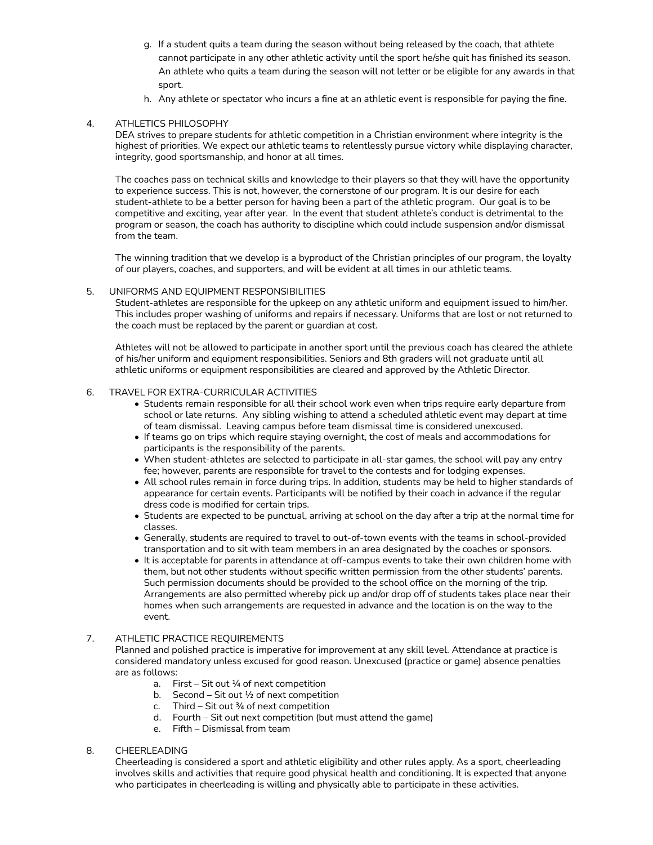- g. If a student quits a team during the season without being released by the coach, that athlete cannot participate in any other athletic activity until the sport he/she quit has finished its season. An athlete who quits a team during the season will not letter or be eligible for any awards in that sport.
- h. Any athlete or spectator who incurs a fine at an athletic event is responsible for paying the fine.

# 4. ATHLETICS PHILOSOPHY

DEA strives to prepare students for athletic competition in a Christian environment where integrity is the highest of priorities. We expect our athletic teams to relentlessly pursue victory while displaying character, integrity, good sportsmanship, and honor at all times.

The coaches pass on technical skills and knowledge to their players so that they will have the opportunity to experience success. This is not, however, the cornerstone of our program. It is our desire for each student-athlete to be a better person for having been a part of the athletic program. Our goal is to be competitive and exciting, year after year. In the event that student athlete's conduct is detrimental to the program or season, the coach has authority to discipline which could include suspension and/or dismissal from the team.

The winning tradition that we develop is a byproduct of the Christian principles of our program, the loyalty of our players, coaches, and supporters, and will be evident at all times in our athletic teams.

#### 5. UNIFORMS AND EQUIPMENT RESPONSIBILITIES

Student-athletes are responsible for the upkeep on any athletic uniform and equipment issued to him/her. This includes proper washing of uniforms and repairs if necessary. Uniforms that are lost or not returned to the coach must be replaced by the parent or guardian at cost.

Athletes will not be allowed to participate in another sport until the previous coach has cleared the athlete of his/her uniform and equipment responsibilities. Seniors and 8th graders will not graduate until all athletic uniforms or equipment responsibilities are cleared and approved by the Athletic Director.

# 6. TRAVEL FOR EXTRA-CURRICULAR ACTIVITIES

- Students remain responsible for all their school work even when trips require early departure from school or late returns. Any sibling wishing to attend a scheduled athletic event may depart at time of team dismissal. Leaving campus before team dismissal time is considered unexcused.
- If teams go on trips which require staying overnight, the cost of meals and accommodations for participants is the responsibility of the parents.
- When student-athletes are selected to participate in all-star games, the school will pay any entry fee; however, parents are responsible for travel to the contests and for lodging expenses.
- All school rules remain in force during trips. In addition, students may be held to higher standards of appearance for certain events. Participants will be notified by their coach in advance if the regular dress code is modified for certain trips.
- Students are expected to be punctual, arriving at school on the day after a trip at the normal time for classes.
- Generally, students are required to travel to out-of-town events with the teams in school-provided transportation and to sit with team members in an area designated by the coaches or sponsors.
- It is acceptable for parents in attendance at off-campus events to take their own children home with them, but not other students without specific written permission from the other students' parents. Such permission documents should be provided to the school office on the morning of the trip. Arrangements are also permitted whereby pick up and/or drop off of students takes place near their homes when such arrangements are requested in advance and the location is on the way to the event.
- 7. ATHLETIC PRACTICE REQUIREMENTS

Planned and polished practice is imperative for improvement at any skill level. Attendance at practice is considered mandatory unless excused for good reason. Unexcused (practice or game) absence penalties are as follows:

- a. First Sit out  $\frac{1}{4}$  of next competition
- b. Second Sit out ½ of next competition
- c. Third Sit out  $\frac{3}{4}$  of next competition
- d. Fourth Sit out next competition (but must attend the game)
- e. Fifth Dismissal from team

#### 8. CHEERLEADING

Cheerleading is considered a sport and athletic eligibility and other rules apply. As a sport, cheerleading involves skills and activities that require good physical health and conditioning. It is expected that anyone who participates in cheerleading is willing and physically able to participate in these activities.